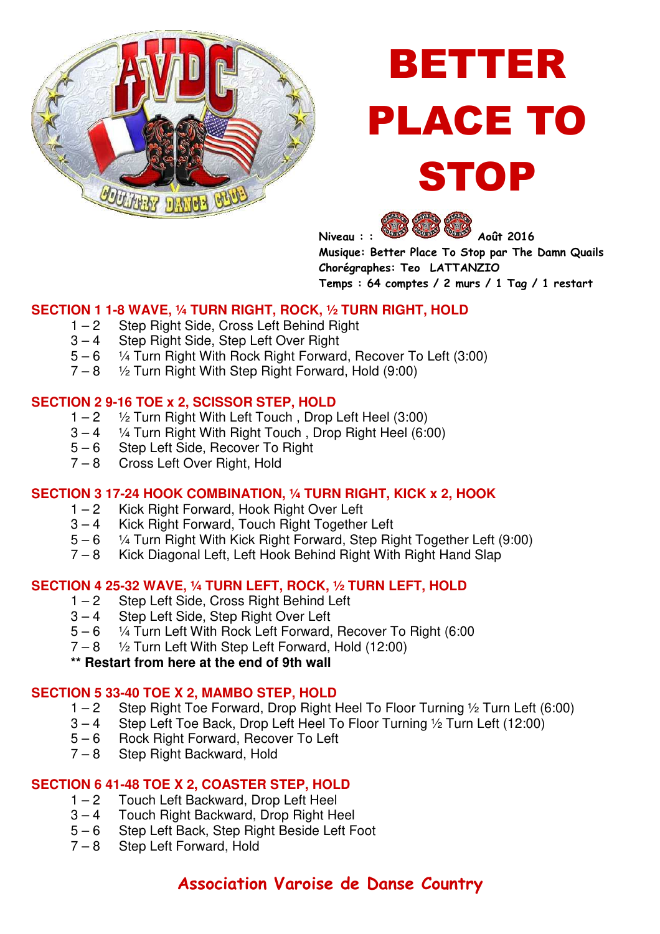

# BETTER PLACE TO STOP



**Musique: Better Place To Stop par The Damn Quails Chorégraphes: Teo LATTANZIO Temps : 64 comptes / 2 murs / 1 Tag / 1 restart** 

#### **SECTION 1 1-8 WAVE, ¼ TURN RIGHT, ROCK, ½ TURN RIGHT, HOLD**

- 1 2 Step Right Side, Cross Left Behind Right
- 3 4 Step Right Side, Step Left Over Right
- $5 6$  <sup>1</sup>/<sub>4</sub> Turn Right With Rock Right Forward, Recover To Left (3:00)
- $7 8$   $\frac{1}{2}$  Turn Right With Step Right Forward, Hold (9:00)

#### **SECTION 2 9-16 TOE x 2, SCISSOR STEP, HOLD**

- $1 2$   $\frac{1}{2}$  Turn Right With Left Touch, Drop Left Heel (3:00)
- $3 4$  1/4 Turn Right With Right Touch, Drop Right Heel (6:00)<br> $5 6$  Step Left Side, Recover To Right
- Step Left Side, Recover To Right
- 7 8 Cross Left Over Right, Hold

#### **SECTION 3 17-24 HOOK COMBINATION, ¼ TURN RIGHT, KICK x 2, HOOK**

- 1 2 Kick Right Forward, Hook Right Over Left
- 3 4 Kick Right Forward, Touch Right Together Left
- 5 6 <sup>1</sup>/<sub>4</sub> Turn Right With Kick Right Forward, Step Right Together Left (9:00)<br>7 8 Kick Diagonal Left, Left Hook Behind Right With Right Hand Slap
- Kick Diagonal Left, Left Hook Behind Right With Right Hand Slap

# **SECTION 4 25-32 WAVE, 1/4 TURN LEFT, ROCK, 1/2 TURN LEFT, HOLD**<br>1 – 2 Step Left Side. Cross Right Behind Left

- 1 2 Step Left Side, Cross Right Behind Left<br>3 4 Step Left Side, Step Right Over Left
- Step Left Side, Step Right Over Left
- 5 6 ¼ Turn Left With Rock Left Forward, Recover To Right (6:00
- $7 8$   $\frac{1}{2}$  Turn Left With Step Left Forward, Hold (12:00)

#### **\*\* Restart from here at the end of 9th wall**

#### **SECTION 5 33-40 TOE X 2, MAMBO STEP, HOLD**

- 1 2 Step Right Toe Forward, Drop Right Heel To Floor Turning 1/2 Turn Left (6:00)<br>3 4 Step Left Toe Back, Drop Left Heel To Floor Turning 1/2 Turn Left (12:00)
- 3 4 Step Left Toe Back, Drop Left Heel To Floor Turning ½ Turn Left (12:00)
- 5 6 Rock Right Forward, Recover To Left
- 7 8 Step Right Backward, Hold

#### **SECTION 6 41-48 TOE X 2, COASTER STEP, HOLD**

- 1 2 Touch Left Backward, Drop Left Heel<br>3 4 Touch Bight Backward, Drop Bight He
- Touch Right Backward, Drop Right Heel
- 5 6 Step Left Back, Step Right Beside Left Foot
- 7 8 Step Left Forward, Hold

### **Association Varoise de Danse Country**